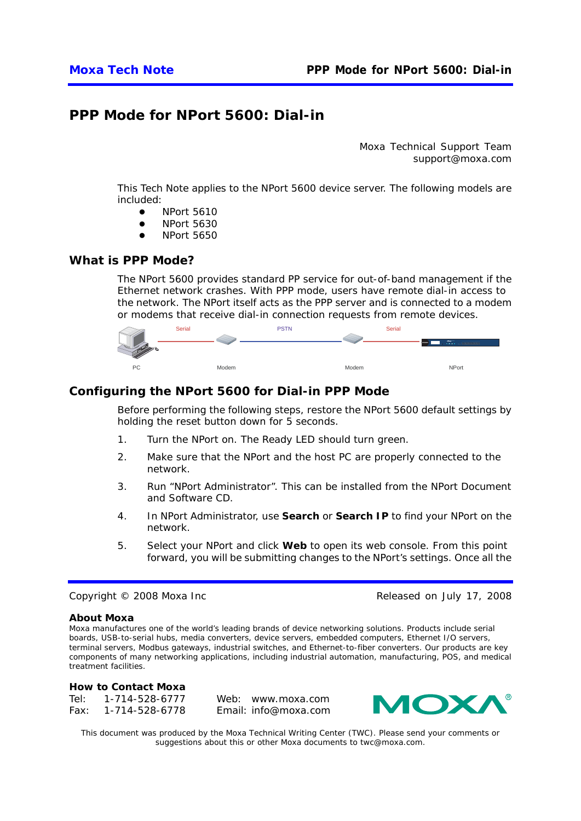# **PPP Mode for NPort 5600: Dial-in**

*Moxa Technical Support Team support@moxa.com* 

This Tech Note applies to the NPort 5600 device server. The following models are included:

- NPort 5610
- $\bullet$  NPort 5630
- **NPort 5650**

## *What is PPP Mode?*

The NPort 5600 provides standard PP service for out-of-band management if the Ethernet network crashes. With PPP mode, users have remote dial-in access to the network. The NPort itself acts as the PPP server and is connected to a modem or modems that receive dial-in connection requests from remote devices.



# *Configuring the NPort 5600 for Dial-in PPP Mode*

Before performing the following steps, restore the NPort 5600 default settings by holding the reset button down for 5 seconds.

- 1. Turn the NPort on. The Ready LED should turn green.
- 2. Make sure that the NPort and the host PC are properly connected to the network.
- 3. Run "NPort Administrator". This can be installed from the NPort Document and Software CD.
- 4. In NPort Administrator, use **Search** or **Search IP** to find your NPort on the network.
- 5. Select your NPort and click **Web** to open its web console. From this point forward, you will be submitting changes to the NPort's settings. Once all the

#### Copyright © 2008 Moxa Inc **Released on July 17, 2008**

#### **About Moxa**

Moxa manufactures one of the world's leading brands of device networking solutions. Products include serial boards, USB-to-serial hubs, media converters, device servers, embedded computers, Ethernet I/O servers, terminal servers, Modbus gateways, industrial switches, and Ethernet-to-fiber converters. Our products are key components of many networking applications, including industrial automation, manufacturing, POS, and medical treatment facilities.

#### **How to Contact Moxa**

Tel: 1-714-528-6777 Fax: 1-714-528-6778 Web: www.moxa.com Email: info@moxa.com



*This document was produced by the Moxa Technical Writing Center (TWC). Please send your comments or suggestions about this or other Moxa documents to twc@moxa.com.*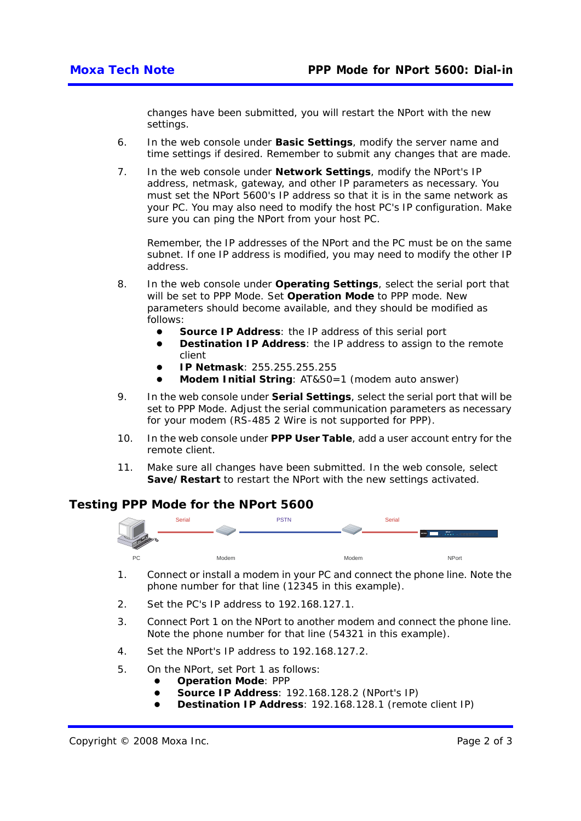changes have been submitted, you will restart the NPort with the new settings.

- 6. In the web console under **Basic Settings**, modify the server name and time settings if desired. Remember to submit any changes that are made.
- 7. In the web console under **Network Settings**, modify the NPort's IP address, netmask, gateway, and other IP parameters as necessary. You must set the NPort 5600's IP address so that it is in the same network as your PC. You may also need to modify the host PC's IP configuration. Make sure you can ping the NPort from your host PC.

Remember, the IP addresses of the NPort and the PC must be on the same subnet. If one IP address is modified, you may need to modify the other IP address.

- 8. In the web console under **Operating Settings**, select the serial port that will be set to PPP Mode. Set **Operation Mode** to PPP mode. New parameters should become available, and they should be modified as follows:
	- Source IP Address: the IP address of this serial port
	- **Destination IP Address:** the IP address to assign to the remote client
	- z **IP Netmask**: 255.255.255.255
	- **Modem Initial String: AT&S0=1 (modem auto answer)**
- 9. In the web console under **Serial Settings**, select the serial port that will be set to PPP Mode. Adjust the serial communication parameters as necessary for your modem (RS-485 2 Wire is not supported for PPP).
- 10. In the web console under **PPP User Table**, add a user account entry for the remote client.
- 11. Make sure all changes have been submitted. In the web console, select **Save/Restart** to restart the NPort with the new settings activated.

# *Testing PPP Mode for the NPort 5600*



- 1. Connect or install a modem in your PC and connect the phone line. Note the phone number for that line (12345 in this example).
- 2. Set the PC's IP address to 192.168.127.1.
- 3. Connect Port 1 on the NPort to another modem and connect the phone line. Note the phone number for that line (54321 in this example).
- 4. Set the NPort's IP address to 192.168.127.2.
- 5. On the NPort, set Port 1 as follows:
	- **Operation Mode: PPP** 
		- **Source IP Address: 192.168.128.2 (NPort's IP)**
		- **Destination IP Address**: 192.168.128.1 (remote client IP)